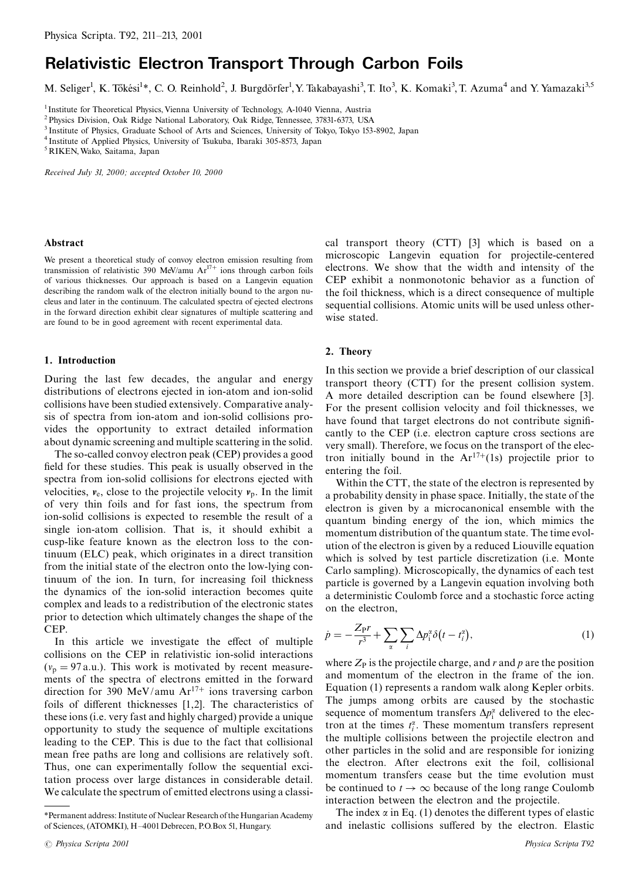# **Relativistic Electron Transport Through Carbon Foils**

M. Seliger<sup>1</sup>, K. Tőkési<sup>1\*</sup>, C. O. Reinhold<sup>2</sup>, J. Burgdörfer<sup>1</sup>, Y. Takabayashi<sup>3</sup>, T. Ito<sup>3</sup>, K. Komaki<sup>3</sup>, T. Azuma<sup>4</sup> and Y. Yamazaki<sup>3,5</sup>

<sup>1</sup> Institute for Theoretical Physics, Vienna University of Technology, A-1040 Vienna, Austria

<sup>2</sup> Physics Division, Oak Ridge National Laboratory, Oak Ridge, Tennessee, 37831-6373, USA

<sup>3</sup> Institute of Physics, Graduate School of Arts and Sciences, University of Tokyo, Tokyo 153-8902, Japan

<sup>4</sup> Institute of Applied Physics, University of Tsukuba, Ibaraki 305-8573, Japan

<sup>5</sup> RIKEN, Wako, Saitama, Japan

Received July 31, 2000; accepted October 10, 2000

### Abstract

We present a theoretical study of convoy electron emission resulting from transmission of relativistic 390 MeV/amu  $Ar^{17+}$  ions through carbon foils of various thicknesses. Our approach is based on a Langevin equation describing the random walk of the electron initially bound to the argon nucleus and later in the continuum. The calculated spectra of ejected electrons in the forward direction exhibit clear signatures of multiple scattering and are found to be in good agreement with recent experimental data.

## 1. Introduction

During the last few decades, the angular and energy distributions of electrons ejected in ion-atom and ion-solid collisions have been studied extensively. Comparative analysis of spectra from ion-atom and ion-solid collisions provides the opportunity to extract detailed information about dynamic screening and multiple scattering in the solid.

The so-called convoy electron peak (CEP) provides a good field for these studies. This peak is usually observed in the spectra from ion-solid collisions for electrons ejected with velocities,  $v_e$ , close to the projectile velocity  $v_p$ . In the limit of very thin foils and for fast ions, the spectrum from ion-solid collisions is expected to resemble the result of a single ion-atom collision. That is, it should exhibit a cusp-like feature known as the electron loss to the continuum (ELC) peak, which originates in a direct transition from the initial state of the electron onto the low-lying continuum of the ion. In turn, for increasing foil thickness the dynamics of the ion-solid interaction becomes quite complex and leads to a redistribution of the electronic states prior to detection which ultimately changes the shape of the CEP.

In this article we investigate the effect of multiple collisions on the CEP in relativistic ion-solid interactions  $(v_p = 97 \text{ a.u.})$ . This work is motivated by recent measurements of the spectra of electrons emitted in the forward direction for 390 MeV/amu  $Ar^{17+}$  ions traversing carbon foils of different thicknesses [1,2]. The characteristics of these ions (i.e. very fast and highly charged) provide a unique opportunity to study the sequence of multiple excitations leading to the CEP. This is due to the fact that collisional mean free paths are long and collisions are relatively soft. Thus, one can experimentally follow the sequential excitation process over large distances in considerable detail. We calculate the spectrum of emitted electrons using a classical transport theory (CTT) [3] which is based on a microscopic Langevin equation for projectile-centered electrons. We show that the width and intensity of the CEP exhibit a nonmonotonic behavior as a function of the foil thickness, which is a direct consequence of multiple sequential collisions. Atomic units will be used unless otherwise stated.

## 2. Theory

In this section we provide a brief description of our classical transport theory (CTT) for the present collision system. A more detailed description can be found elsewhere [3]. For the present collision velocity and foil thicknesses, we have found that target electrons do not contribute significantly to the CEP (i.e. electron capture cross sections are very small). Therefore, we focus on the transport of the electron initially bound in the  $Ar^{17+}(1s)$  projectile prior to entering the foil.

Within the CTT, the state of the electron is represented by a probability density in phase space. Initially, the state of the electron is given by a microcanonical ensemble with the quantum binding energy of the ion, which mimics the momentum distribution of the quantum state. The time evolution of the electron is given by a reduced Liouville equation which is solved by test particle discretization (i.e. Monte Carlo sampling). Microscopically, the dynamics of each test particle is governed by a Langevin equation involving both a deterministic Coulomb force and a stochastic force acting on the electron,

$$
\dot{p} = -\frac{Z_{\rm P}r}{r^3} + \sum_{\alpha} \sum_{i} \Delta p_i^{\alpha} \delta(t - t_i^{\alpha}),\tag{1}
$$

where  $Z_P$  is the projectile charge, and r and p are the position and momentum of the electron in the frame of the ion. Equation (1) represents a random walk along Kepler orbits. The jumps among orbits are caused by the stochastic sequence of momentum transfers  $\Delta p_i^{\alpha}$  delivered to the electron at the times  $t_i^{\alpha}$ . These momentum transfers represent the multiple collisions between the projectile electron and other particles in the solid and are responsible for ionizing the electron. After electrons exit the foil, collisional momentum transfers cease but the time evolution must be continued to  $t \to \infty$  because of the long range Coulomb interaction between the electron and the projectile.

The index  $\alpha$  in Eq. (1) denotes the different types of elastic and inelastic collisions suffered by the electron. Elastic

<sup>\*</sup>Permanent address: Institute of Nuclear Research of the Hungarian Academy of Sciences, (ATOMKI), H-4001 Debrecen, P.O.Box 51, Hungary.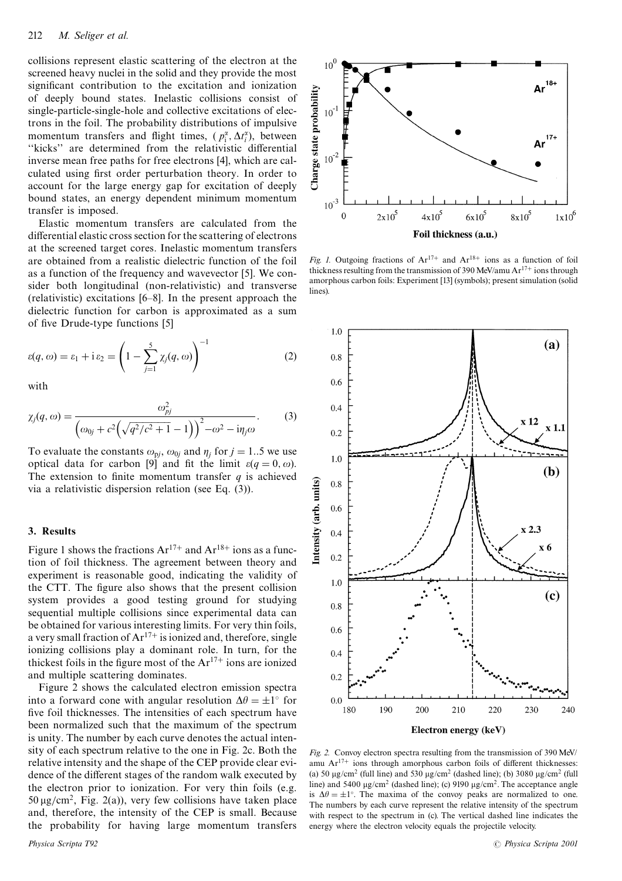collisions represent elastic scattering of the electron at the screened heavy nuclei in the solid and they provide the most significant contribution to the excitation and ionization of deeply bound states. Inelastic collisions consist of single-particle-single-hole and collective excitations of electrons in the foil. The probability distributions of impulsive momentum transfers and flight times,  $(p_i^{\alpha}, \Delta t_i^{\alpha})$ , between "kicks" are determined from the relativistic differential inverse mean free paths for free electrons [4], which are calculated using first order perturbation theory. In order to account for the large energy gap for excitation of deeply bound states, an energy dependent minimum momentum transfer is imposed.

Elastic momentum transfers are calculated from the differential elastic cross section for the scattering of electrons at the screened target cores. Inelastic momentum transfers are obtained from a realistic dielectric function of the foil as a function of the frequency and wavevector [5]. We consider both longitudinal (non-relativistic) and transverse (relativistic) excitations  $[6-8]$ . In the present approach the dielectric function for carbon is approximated as a sum of five Drude-type functions [5]

$$
\varepsilon(q,\omega) = \varepsilon_1 + i \varepsilon_2 = \left(1 - \sum_{j=1}^5 \chi_j(q,\omega)\right)^{-1} \tag{2}
$$

with

$$
\chi_j(q,\omega) = \frac{\omega_{pj}^2}{\left(\omega_{0j} + c^2 \left(\sqrt{q^2/c^2 + 1} - 1\right)\right)^2 - \omega^2 - i\eta_j \omega}.
$$
 (3)

To evaluate the constants  $\omega_{pj}$ ,  $\omega_{0j}$  and  $\eta_i$  for  $j = 1..5$  we use optical data for carbon [9] and fit the limit  $\varepsilon(q=0,\omega)$ . The extension to finite momentum transfer  $q$  is achieved via a relativistic dispersion relation (see Eq.  $(3)$ ).

## 3. Results

Figure 1 shows the fractions  $Ar^{17+}$  and  $Ar^{18+}$  ions as a function of foil thickness. The agreement between theory and experiment is reasonable good, indicating the validity of the CTT. The figure also shows that the present collision system provides a good testing ground for studying sequential multiple collisions since experimental data can be obtained for various interesting limits. For very thin foils. a very small fraction of  $Ar^{17+}$  is ionized and, therefore, single ionizing collisions play a dominant role. In turn, for the thickest foils in the figure most of the  $Ar^{17+}$  ions are ionized and multiple scattering dominates.

Figure 2 shows the calculated electron emission spectra into a forward cone with angular resolution  $\Delta \theta = \pm 1^{\circ}$  for five foil thicknesses. The intensities of each spectrum have been normalized such that the maximum of the spectrum is unity. The number by each curve denotes the actual intensity of each spectrum relative to the one in Fig. 2c. Both the relative intensity and the shape of the CEP provide clear evidence of the different stages of the random walk executed by the electron prior to ionization. For very thin foils (e.g.  $50 \mu g/cm^2$ , Fig. 2(a)), very few collisions have taken place and, therefore, the intensity of the CEP is small. Because the probability for having large momentum transfers



Fig. 1. Outgoing fractions of  $Ar^{17+}$  and  $Ar^{18+}$  ions as a function of foil thickness resulting from the transmission of 390 MeV/amu  $Ar^{17+}$  ions through amorphous carbon foils: Experiment [13] (symbols); present simulation (solid lines).



Fig. 2. Convoy electron spectra resulting from the transmission of 390 MeV/ amu  $Ar^{17+}$  ions through amorphous carbon foils of different thicknesses: (a) 50  $\mu$ g/cm<sup>2</sup> (full line) and 530  $\mu$ g/cm<sup>2</sup> (dashed line); (b) 3080  $\mu$ g/cm<sup>2</sup> (full line) and 5400  $\mu$ g/cm<sup>2</sup> (dashed line); (c) 9190  $\mu$ g/cm<sup>2</sup>. The acceptance angle is  $\Delta \theta = \pm 1^{\circ}$ . The maxima of the convoy peaks are normalized to one. The numbers by each curve represent the relative intensity of the spectrum with respect to the spectrum in (c). The vertical dashed line indicates the energy where the electron velocity equals the projectile velocity.